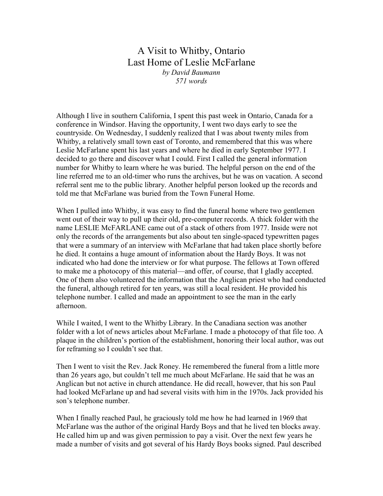## A Visit to Whitby, Ontario Last Home of Leslie McFarlane by David Baumann 571 words

Although I live in southern California, I spent this past week in Ontario, Canada for a conference in Windsor. Having the opportunity, I went two days early to see the countryside. On Wednesday, I suddenly realized that I was about twenty miles from Whitby, a relatively small town east of Toronto, and remembered that this was where Leslie McFarlane spent his last years and where he died in early September 1977. I decided to go there and discover what I could. First I called the general information number for Whitby to learn where he was buried. The helpful person on the end of the line referred me to an old-timer who runs the archives, but he was on vacation. A second referral sent me to the public library. Another helpful person looked up the records and told me that McFarlane was buried from the Town Funeral Home.

When I pulled into Whitby, it was easy to find the funeral home where two gentlemen went out of their way to pull up their old, pre-computer records. A thick folder with the name LESLIE McFARLANE came out of a stack of others from 1977. Inside were not only the records of the arrangements but also about ten single-spaced typewritten pages that were a summary of an interview with McFarlane that had taken place shortly before he died. It contains a huge amount of information about the Hardy Boys. It was not indicated who had done the interview or for what purpose. The fellows at Town offered to make me a photocopy of this material—and offer, of course, that I gladly accepted. One of them also volunteered the information that the Anglican priest who had conducted the funeral, although retired for ten years, was still a local resident. He provided his telephone number. I called and made an appointment to see the man in the early afternoon.

While I waited, I went to the Whitby Library. In the Canadiana section was another folder with a lot of news articles about McFarlane. I made a photocopy of that file too. A plaque in the children's portion of the establishment, honoring their local author, was out for reframing so I couldn't see that.

Then I went to visit the Rev. Jack Roney. He remembered the funeral from a little more than 26 years ago, but couldn't tell me much about McFarlane. He said that he was an Anglican but not active in church attendance. He did recall, however, that his son Paul had looked McFarlane up and had several visits with him in the 1970s. Jack provided his son's telephone number.

When I finally reached Paul, he graciously told me how he had learned in 1969 that McFarlane was the author of the original Hardy Boys and that he lived ten blocks away. He called him up and was given permission to pay a visit. Over the next few years he made a number of visits and got several of his Hardy Boys books signed. Paul described